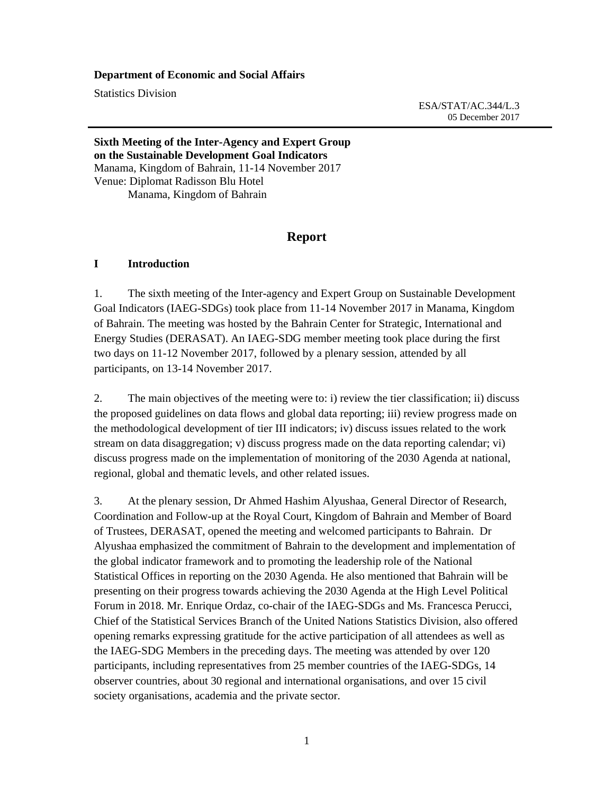#### **Department of Economic and Social Affairs**

Statistics Division

 ESA/STAT/AC.344/L.3 05 December 2017

### **Sixth Meeting of the Inter-Agency and Expert Group on the Sustainable Development Goal Indicators**  Manama, Kingdom of Bahrain, 11-14 November 2017 Venue: Diplomat Radisson Blu Hotel Manama, Kingdom of Bahrain

## **Report**

#### **I Introduction**

1. The sixth meeting of the Inter-agency and Expert Group on Sustainable Development Goal Indicators (IAEG-SDGs) took place from 11-14 November 2017 in Manama, Kingdom of Bahrain. The meeting was hosted by the Bahrain Center for Strategic, International and Energy Studies (DERASAT). An IAEG-SDG member meeting took place during the first two days on 11-12 November 2017, followed by a plenary session, attended by all participants, on 13-14 November 2017.

2. The main objectives of the meeting were to: i) review the tier classification; ii) discuss the proposed guidelines on data flows and global data reporting; iii) review progress made on the methodological development of tier III indicators; iv) discuss issues related to the work stream on data disaggregation; v) discuss progress made on the data reporting calendar; vi) discuss progress made on the implementation of monitoring of the 2030 Agenda at national, regional, global and thematic levels, and other related issues.

3. At the plenary session, Dr Ahmed Hashim Alyushaa, General Director of Research, Coordination and Follow-up at the Royal Court, Kingdom of Bahrain and Member of Board of Trustees, DERASAT, opened the meeting and welcomed participants to Bahrain. Dr Alyushaa emphasized the commitment of Bahrain to the development and implementation of the global indicator framework and to promoting the leadership role of the National Statistical Offices in reporting on the 2030 Agenda. He also mentioned that Bahrain will be presenting on their progress towards achieving the 2030 Agenda at the High Level Political Forum in 2018. Mr. Enrique Ordaz, co-chair of the IAEG-SDGs and Ms. Francesca Perucci, Chief of the Statistical Services Branch of the United Nations Statistics Division, also offered opening remarks expressing gratitude for the active participation of all attendees as well as the IAEG-SDG Members in the preceding days. The meeting was attended by over 120 participants, including representatives from 25 member countries of the IAEG-SDGs, 14 observer countries, about 30 regional and international organisations, and over 15 civil society organisations, academia and the private sector.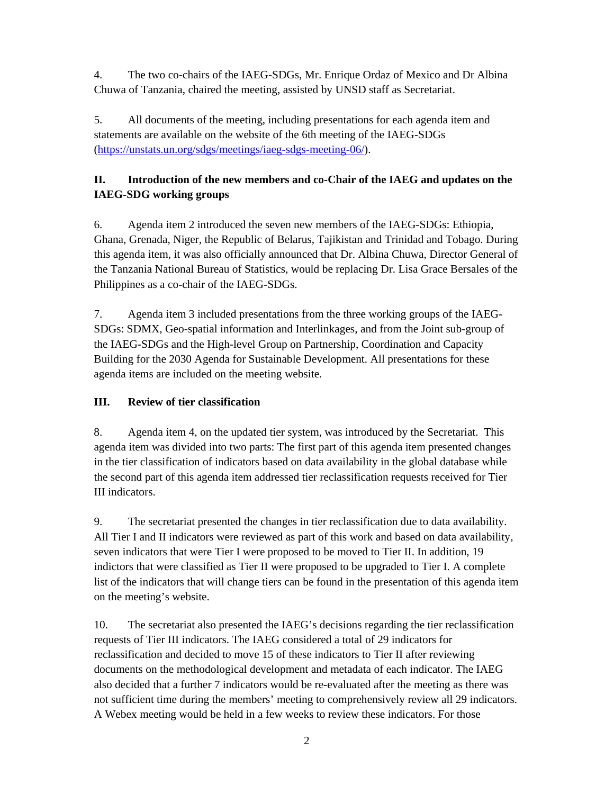4. The two co-chairs of the IAEG-SDGs, Mr. Enrique Ordaz of Mexico and Dr Albina Chuwa of Tanzania, chaired the meeting, assisted by UNSD staff as Secretariat.

5. All documents of the meeting, including presentations for each agenda item and statements are available on the website of the 6th meeting of the IAEG-SDGs (https://unstats.un.org/sdgs/meetings/iaeg-sdgs-meeting-06/).

# **II. Introduction of the new members and co-Chair of the IAEG and updates on the IAEG-SDG working groups**

6. Agenda item 2 introduced the seven new members of the IAEG-SDGs: Ethiopia, Ghana, Grenada, Niger, the Republic of Belarus, Tajikistan and Trinidad and Tobago. During this agenda item, it was also officially announced that Dr. Albina Chuwa, Director General of the Tanzania National Bureau of Statistics, would be replacing Dr. Lisa Grace Bersales of the Philippines as a co-chair of the IAEG-SDGs.

7. Agenda item 3 included presentations from the three working groups of the IAEG-SDGs: SDMX, Geo-spatial information and Interlinkages, and from the Joint sub-group of the IAEG-SDGs and the High-level Group on Partnership, Coordination and Capacity Building for the 2030 Agenda for Sustainable Development. All presentations for these agenda items are included on the meeting website.

# **III. Review of tier classification**

8. Agenda item 4, on the updated tier system, was introduced by the Secretariat. This agenda item was divided into two parts: The first part of this agenda item presented changes in the tier classification of indicators based on data availability in the global database while the second part of this agenda item addressed tier reclassification requests received for Tier III indicators.

9. The secretariat presented the changes in tier reclassification due to data availability. All Tier I and II indicators were reviewed as part of this work and based on data availability, seven indicators that were Tier I were proposed to be moved to Tier II. In addition, 19 indictors that were classified as Tier II were proposed to be upgraded to Tier I. A complete list of the indicators that will change tiers can be found in the presentation of this agenda item on the meeting's website.

10. The secretariat also presented the IAEG's decisions regarding the tier reclassification requests of Tier III indicators. The IAEG considered a total of 29 indicators for reclassification and decided to move 15 of these indicators to Tier II after reviewing documents on the methodological development and metadata of each indicator. The IAEG also decided that a further 7 indicators would be re-evaluated after the meeting as there was not sufficient time during the members' meeting to comprehensively review all 29 indicators. A Webex meeting would be held in a few weeks to review these indicators. For those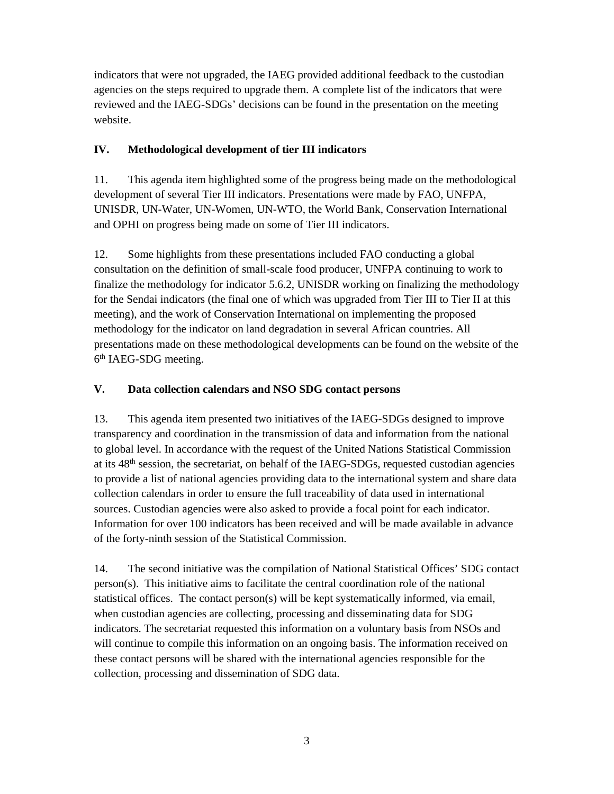indicators that were not upgraded, the IAEG provided additional feedback to the custodian agencies on the steps required to upgrade them. A complete list of the indicators that were reviewed and the IAEG-SDGs' decisions can be found in the presentation on the meeting website.

# **IV. Methodological development of tier III indicators**

11. This agenda item highlighted some of the progress being made on the methodological development of several Tier III indicators. Presentations were made by FAO, UNFPA, UNISDR, UN-Water, UN-Women, UN-WTO, the World Bank, Conservation International and OPHI on progress being made on some of Tier III indicators.

12. Some highlights from these presentations included FAO conducting a global consultation on the definition of small-scale food producer, UNFPA continuing to work to finalize the methodology for indicator 5.6.2, UNISDR working on finalizing the methodology for the Sendai indicators (the final one of which was upgraded from Tier III to Tier II at this meeting), and the work of Conservation International on implementing the proposed methodology for the indicator on land degradation in several African countries. All presentations made on these methodological developments can be found on the website of the 6th IAEG-SDG meeting.

# **V. Data collection calendars and NSO SDG contact persons**

13. This agenda item presented two initiatives of the IAEG-SDGs designed to improve transparency and coordination in the transmission of data and information from the national to global level. In accordance with the request of the United Nations Statistical Commission at its  $48<sup>th</sup>$  session, the secretariat, on behalf of the IAEG-SDGs, requested custodian agencies to provide a list of national agencies providing data to the international system and share data collection calendars in order to ensure the full traceability of data used in international sources. Custodian agencies were also asked to provide a focal point for each indicator. Information for over 100 indicators has been received and will be made available in advance of the forty-ninth session of the Statistical Commission.

14. The second initiative was the compilation of National Statistical Offices' SDG contact  $person(s)$ . This initiative aims to facilitate the central coordination role of the national statistical offices. The contact person(s) will be kept systematically informed, via email, when custodian agencies are collecting, processing and disseminating data for SDG indicators. The secretariat requested this information on a voluntary basis from NSOs and will continue to compile this information on an ongoing basis. The information received on these contact persons will be shared with the international agencies responsible for the collection, processing and dissemination of SDG data.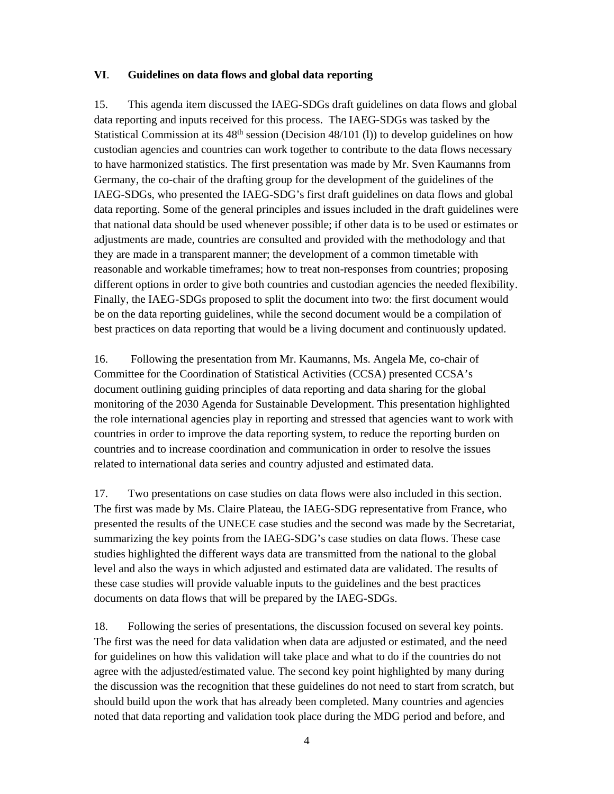## **VI**. **Guidelines on data flows and global data reporting**

15. This agenda item discussed the IAEG-SDGs draft guidelines on data flows and global data reporting and inputs received for this process. The IAEG-SDGs was tasked by the Statistical Commission at its 48<sup>th</sup> session (Decision 48/101 (l)) to develop guidelines on how custodian agencies and countries can work together to contribute to the data flows necessary to have harmonized statistics. The first presentation was made by Mr. Sven Kaumanns from Germany, the co-chair of the drafting group for the development of the guidelines of the IAEG-SDGs, who presented the IAEG-SDG's first draft guidelines on data flows and global data reporting. Some of the general principles and issues included in the draft guidelines were that national data should be used whenever possible; if other data is to be used or estimates or adjustments are made, countries are consulted and provided with the methodology and that they are made in a transparent manner; the development of a common timetable with reasonable and workable timeframes; how to treat non-responses from countries; proposing different options in order to give both countries and custodian agencies the needed flexibility. Finally, the IAEG-SDGs proposed to split the document into two: the first document would be on the data reporting guidelines, while the second document would be a compilation of best practices on data reporting that would be a living document and continuously updated.

16. Following the presentation from Mr. Kaumanns, Ms. Angela Me, co-chair of Committee for the Coordination of Statistical Activities (CCSA) presented CCSA's document outlining guiding principles of data reporting and data sharing for the global monitoring of the 2030 Agenda for Sustainable Development. This presentation highlighted the role international agencies play in reporting and stressed that agencies want to work with countries in order to improve the data reporting system, to reduce the reporting burden on countries and to increase coordination and communication in order to resolve the issues related to international data series and country adjusted and estimated data.

17. Two presentations on case studies on data flows were also included in this section. The first was made by Ms. Claire Plateau, the IAEG-SDG representative from France, who presented the results of the UNECE case studies and the second was made by the Secretariat, summarizing the key points from the IAEG-SDG's case studies on data flows. These case studies highlighted the different ways data are transmitted from the national to the global level and also the ways in which adjusted and estimated data are validated. The results of these case studies will provide valuable inputs to the guidelines and the best practices documents on data flows that will be prepared by the IAEG-SDGs.

18. Following the series of presentations, the discussion focused on several key points. The first was the need for data validation when data are adjusted or estimated, and the need for guidelines on how this validation will take place and what to do if the countries do not agree with the adjusted/estimated value. The second key point highlighted by many during the discussion was the recognition that these guidelines do not need to start from scratch, but should build upon the work that has already been completed. Many countries and agencies noted that data reporting and validation took place during the MDG period and before, and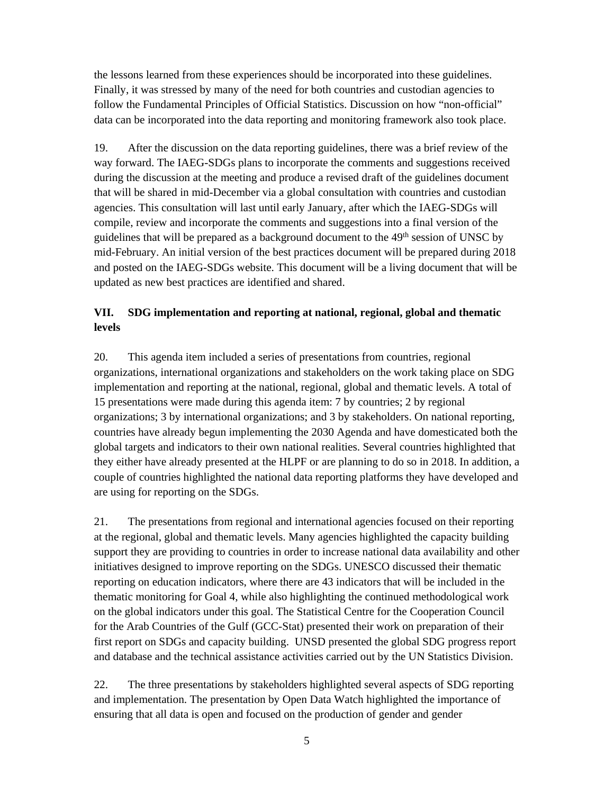the lessons learned from these experiences should be incorporated into these guidelines. Finally, it was stressed by many of the need for both countries and custodian agencies to follow the Fundamental Principles of Official Statistics. Discussion on how "non-official" data can be incorporated into the data reporting and monitoring framework also took place.

19. After the discussion on the data reporting guidelines, there was a brief review of the way forward. The IAEG-SDGs plans to incorporate the comments and suggestions received during the discussion at the meeting and produce a revised draft of the guidelines document that will be shared in mid-December via a global consultation with countries and custodian agencies. This consultation will last until early January, after which the IAEG-SDGs will compile, review and incorporate the comments and suggestions into a final version of the guidelines that will be prepared as a background document to the 49<sup>th</sup> session of UNSC by mid-February. An initial version of the best practices document will be prepared during 2018 and posted on the IAEG-SDGs website. This document will be a living document that will be updated as new best practices are identified and shared.

# **VII. SDG implementation and reporting at national, regional, global and thematic levels**

20. This agenda item included a series of presentations from countries, regional organizations, international organizations and stakeholders on the work taking place on SDG implementation and reporting at the national, regional, global and thematic levels. A total of 15 presentations were made during this agenda item: 7 by countries; 2 by regional organizations; 3 by international organizations; and 3 by stakeholders. On national reporting, countries have already begun implementing the 2030 Agenda and have domesticated both the global targets and indicators to their own national realities. Several countries highlighted that they either have already presented at the HLPF or are planning to do so in 2018. In addition, a couple of countries highlighted the national data reporting platforms they have developed and are using for reporting on the SDGs.

21. The presentations from regional and international agencies focused on their reporting at the regional, global and thematic levels. Many agencies highlighted the capacity building support they are providing to countries in order to increase national data availability and other initiatives designed to improve reporting on the SDGs. UNESCO discussed their thematic reporting on education indicators, where there are 43 indicators that will be included in the thematic monitoring for Goal 4, while also highlighting the continued methodological work on the global indicators under this goal. The Statistical Centre for the Cooperation Council for the Arab Countries of the Gulf (GCC-Stat) presented their work on preparation of their first report on SDGs and capacity building. UNSD presented the global SDG progress report and database and the technical assistance activities carried out by the UN Statistics Division.

22. The three presentations by stakeholders highlighted several aspects of SDG reporting and implementation. The presentation by Open Data Watch highlighted the importance of ensuring that all data is open and focused on the production of gender and gender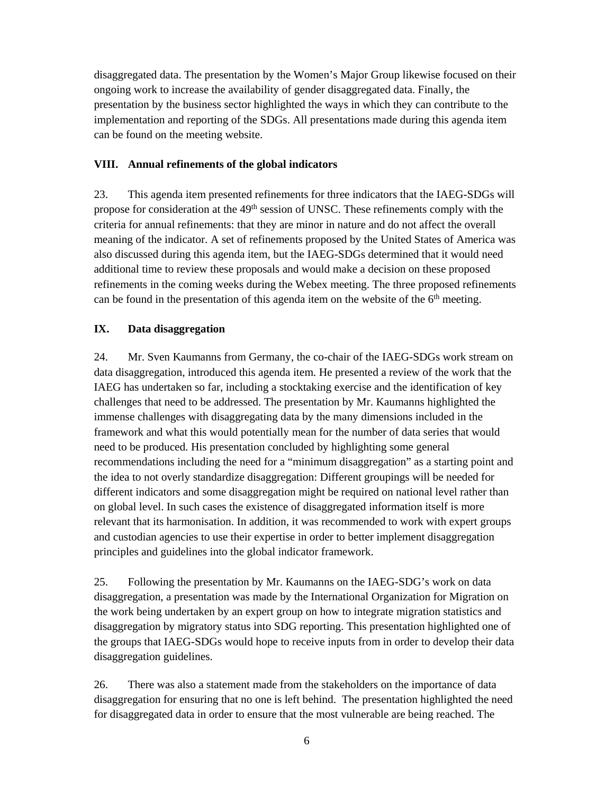disaggregated data. The presentation by the Women's Major Group likewise focused on their ongoing work to increase the availability of gender disaggregated data. Finally, the presentation by the business sector highlighted the ways in which they can contribute to the implementation and reporting of the SDGs. All presentations made during this agenda item can be found on the meeting website.

## **VIII. Annual refinements of the global indicators**

23. This agenda item presented refinements for three indicators that the IAEG-SDGs will propose for consideration at the 49<sup>th</sup> session of UNSC. These refinements comply with the criteria for annual refinements: that they are minor in nature and do not affect the overall meaning of the indicator. A set of refinements proposed by the United States of America was also discussed during this agenda item, but the IAEG-SDGs determined that it would need additional time to review these proposals and would make a decision on these proposed refinements in the coming weeks during the Webex meeting. The three proposed refinements can be found in the presentation of this agenda item on the website of the  $6<sup>th</sup>$  meeting.

## **IX. Data disaggregation**

24. Mr. Sven Kaumanns from Germany, the co-chair of the IAEG-SDGs work stream on data disaggregation, introduced this agenda item. He presented a review of the work that the IAEG has undertaken so far, including a stocktaking exercise and the identification of key challenges that need to be addressed. The presentation by Mr. Kaumanns highlighted the immense challenges with disaggregating data by the many dimensions included in the framework and what this would potentially mean for the number of data series that would need to be produced. His presentation concluded by highlighting some general recommendations including the need for a "minimum disaggregation" as a starting point and the idea to not overly standardize disaggregation: Different groupings will be needed for different indicators and some disaggregation might be required on national level rather than on global level. In such cases the existence of disaggregated information itself is more relevant that its harmonisation. In addition, it was recommended to work with expert groups and custodian agencies to use their expertise in order to better implement disaggregation principles and guidelines into the global indicator framework.

25. Following the presentation by Mr. Kaumanns on the IAEG-SDG's work on data disaggregation, a presentation was made by the International Organization for Migration on the work being undertaken by an expert group on how to integrate migration statistics and disaggregation by migratory status into SDG reporting. This presentation highlighted one of the groups that IAEG-SDGs would hope to receive inputs from in order to develop their data disaggregation guidelines.

26. There was also a statement made from the stakeholders on the importance of data disaggregation for ensuring that no one is left behind. The presentation highlighted the need for disaggregated data in order to ensure that the most vulnerable are being reached. The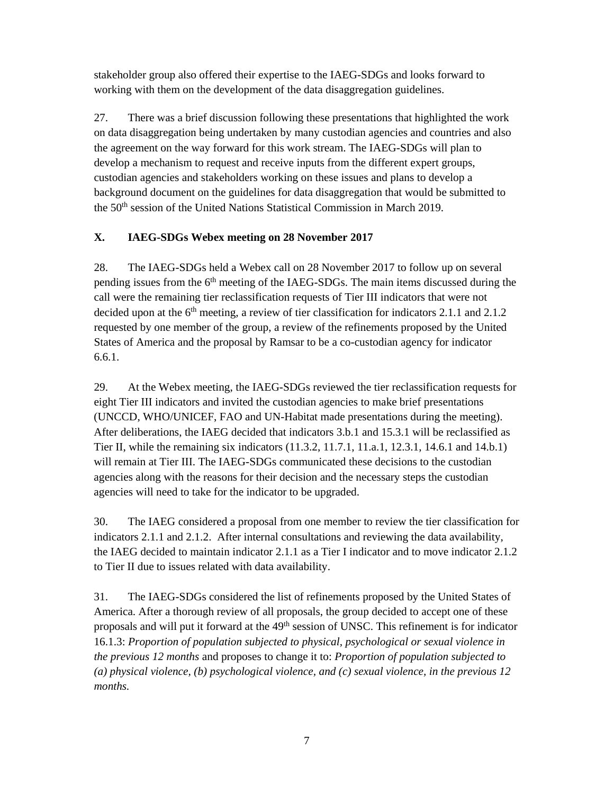stakeholder group also offered their expertise to the IAEG-SDGs and looks forward to working with them on the development of the data disaggregation guidelines.

27. There was a brief discussion following these presentations that highlighted the work on data disaggregation being undertaken by many custodian agencies and countries and also the agreement on the way forward for this work stream. The IAEG-SDGs will plan to develop a mechanism to request and receive inputs from the different expert groups, custodian agencies and stakeholders working on these issues and plans to develop a background document on the guidelines for data disaggregation that would be submitted to the 50<sup>th</sup> session of the United Nations Statistical Commission in March 2019.

# **X. IAEG-SDGs Webex meeting on 28 November 2017**

28. The IAEG-SDGs held a Webex call on 28 November 2017 to follow up on several pending issues from the 6<sup>th</sup> meeting of the IAEG-SDGs. The main items discussed during the call were the remaining tier reclassification requests of Tier III indicators that were not decided upon at the  $6<sup>th</sup>$  meeting, a review of tier classification for indicators 2.1.1 and 2.1.2 requested by one member of the group, a review of the refinements proposed by the United States of America and the proposal by Ramsar to be a co-custodian agency for indicator 6.6.1.

29. At the Webex meeting, the IAEG-SDGs reviewed the tier reclassification requests for eight Tier III indicators and invited the custodian agencies to make brief presentations (UNCCD, WHO/UNICEF, FAO and UN-Habitat made presentations during the meeting). After deliberations, the IAEG decided that indicators 3.b.1 and 15.3.1 will be reclassified as Tier II, while the remaining six indicators (11.3.2, 11.7.1, 11.a.1, 12.3.1, 14.6.1 and 14.b.1) will remain at Tier III. The IAEG-SDGs communicated these decisions to the custodian agencies along with the reasons for their decision and the necessary steps the custodian agencies will need to take for the indicator to be upgraded.

30. The IAEG considered a proposal from one member to review the tier classification for indicators 2.1.1 and 2.1.2. After internal consultations and reviewing the data availability, the IAEG decided to maintain indicator 2.1.1 as a Tier I indicator and to move indicator 2.1.2 to Tier II due to issues related with data availability.

31. The IAEG-SDGs considered the list of refinements proposed by the United States of America. After a thorough review of all proposals, the group decided to accept one of these proposals and will put it forward at the 49<sup>th</sup> session of UNSC. This refinement is for indicator 16.1.3: *Proportion of population subjected to physical, psychological or sexual violence in the previous 12 months* and proposes to change it to: *Proportion of population subjected to (a) physical violence, (b) psychological violence, and (c) sexual violence, in the previous 12 months.*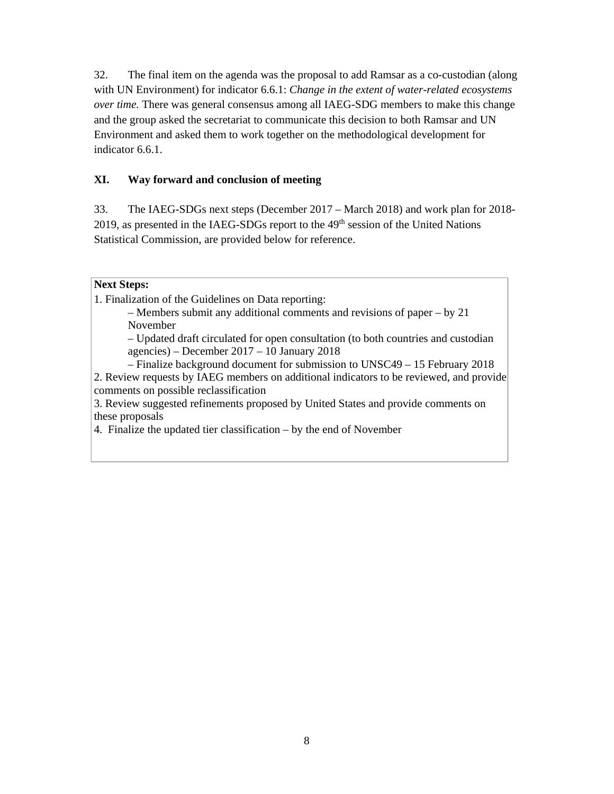32. The final item on the agenda was the proposal to add Ramsar as a co-custodian (along with UN Environment) for indicator 6.6.1: *Change in the extent of water-related ecosystems over time.* There was general consensus among all IAEG-SDG members to make this change and the group asked the secretariat to communicate this decision to both Ramsar and UN Environment and asked them to work together on the methodological development for indicator 6.6.1.

## **XI. Way forward and conclusion of meeting**

33. The IAEG-SDGs next steps (December 2017 – March 2018) and work plan for 2018- 2019, as presented in the IAEG-SDGs report to the 49th session of the United Nations Statistical Commission, are provided below for reference.

## **Next Steps:**

1. Finalization of the Guidelines on Data reporting:

– Members submit any additional comments and revisions of paper – by 21 November

– Updated draft circulated for open consultation (to both countries and custodian agencies) – December 2017 – 10 January 2018

– Finalize background document for submission to UNSC49 – 15 February 2018 2. Review requests by IAEG members on additional indicators to be reviewed, and provide comments on possible reclassification

3. Review suggested refinements proposed by United States and provide comments on these proposals

4. Finalize the updated tier classification – by the end of November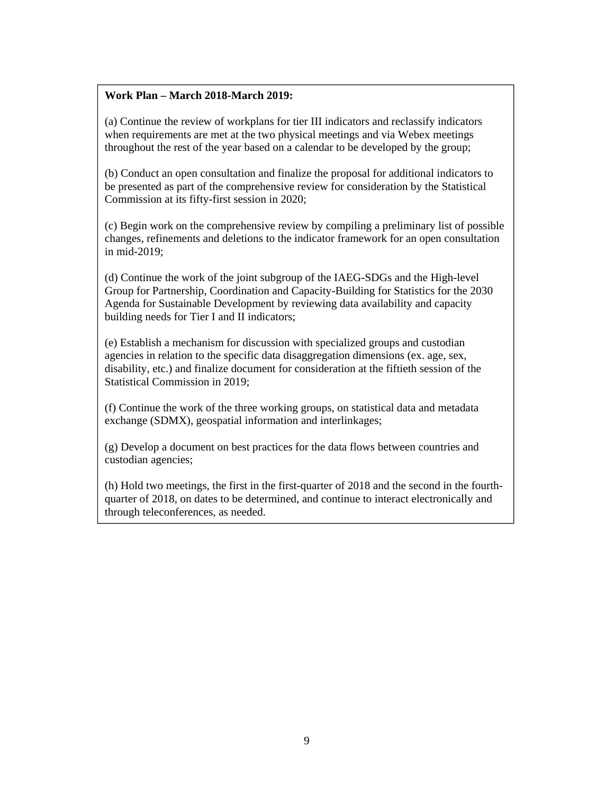## **Work Plan – March 2018-March 2019:**

(a) Continue the review of workplans for tier III indicators and reclassify indicators when requirements are met at the two physical meetings and via Webex meetings throughout the rest of the year based on a calendar to be developed by the group;

(b) Conduct an open consultation and finalize the proposal for additional indicators to be presented as part of the comprehensive review for consideration by the Statistical Commission at its fifty-first session in 2020;

(c) Begin work on the comprehensive review by compiling a preliminary list of possible changes, refinements and deletions to the indicator framework for an open consultation in mid-2019;

(d) Continue the work of the joint subgroup of the IAEG-SDGs and the High-level Group for Partnership, Coordination and Capacity-Building for Statistics for the 2030 Agenda for Sustainable Development by reviewing data availability and capacity building needs for Tier I and II indicators;

(e) Establish a mechanism for discussion with specialized groups and custodian agencies in relation to the specific data disaggregation dimensions (ex. age, sex, disability, etc.) and finalize document for consideration at the fiftieth session of the Statistical Commission in 2019;

(f) Continue the work of the three working groups, on statistical data and metadata exchange (SDMX), geospatial information and interlinkages;

(g) Develop a document on best practices for the data flows between countries and custodian agencies;

(h) Hold two meetings, the first in the first-quarter of 2018 and the second in the fourthquarter of 2018, on dates to be determined, and continue to interact electronically and through teleconferences, as needed.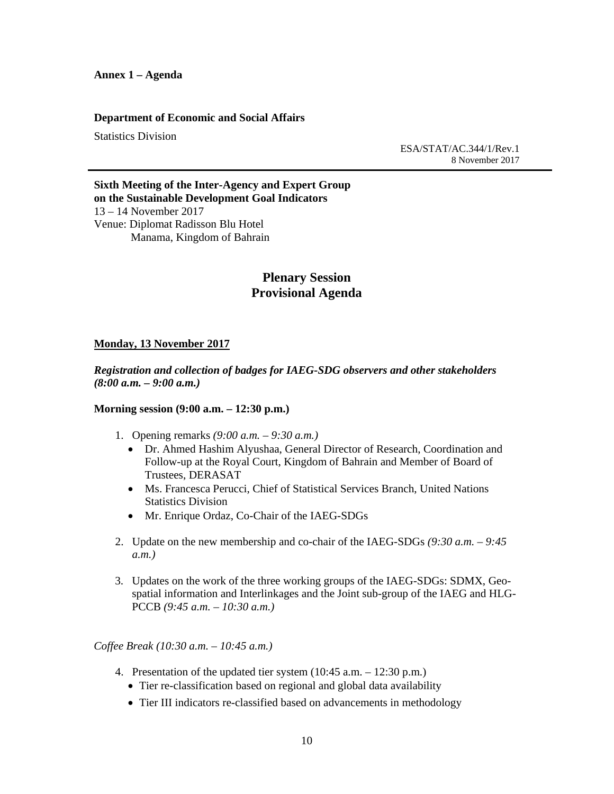#### **Department of Economic and Social Affairs**

Statistics Division

 ESA/STAT/AC.344/1/Rev.1 8 November 2017

**Sixth Meeting of the Inter-Agency and Expert Group on the Sustainable Development Goal Indicators**  13 – 14 November 2017 Venue: Diplomat Radisson Blu Hotel Manama, Kingdom of Bahrain

## **Plenary Session Provisional Agenda**

#### **Monday, 13 November 2017**

*Registration and collection of badges for IAEG-SDG observers and other stakeholders (8:00 a.m. – 9:00 a.m.)* 

#### **Morning session (9:00 a.m. – 12:30 p.m.)**

- 1. Opening remarks *(9:00 a.m. 9:30 a.m.)*
	- Dr. Ahmed Hashim Alyushaa, General Director of Research, Coordination and Follow-up at the Royal Court, Kingdom of Bahrain and Member of Board of Trustees, DERASAT
	- Ms. Francesca Perucci, Chief of Statistical Services Branch, United Nations Statistics Division
	- Mr. Enrique Ordaz, Co-Chair of the IAEG-SDGs
- 2. Update on the new membership and co-chair of the IAEG-SDGs *(9:30 a.m. 9:45 a.m.)*
- 3. Updates on the work of the three working groups of the IAEG-SDGs: SDMX, Geospatial information and Interlinkages and the Joint sub-group of the IAEG and HLG-PCCB *(9:45 a.m. – 10:30 a.m.)*

*Coffee Break (10:30 a.m. – 10:45 a.m.)* 

- 4. Presentation of the updated tier system (10:45 a.m. 12:30 p.m.)
	- Tier re-classification based on regional and global data availability
	- Tier III indicators re-classified based on advancements in methodology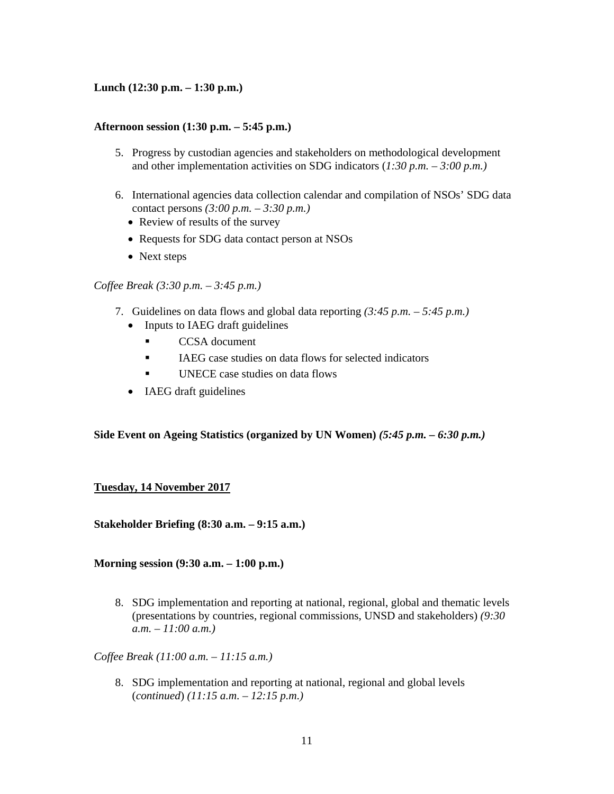## **Lunch (12:30 p.m. – 1:30 p.m.)**

### **Afternoon session (1:30 p.m. – 5:45 p.m.)**

- 5. Progress by custodian agencies and stakeholders on methodological development and other implementation activities on SDG indicators (*1:30 p.m. – 3:00 p.m.)*
- 6. International agencies data collection calendar and compilation of NSOs' SDG data contact persons *(3:00 p.m. – 3:30 p.m.)*
	- Review of results of the survey
	- Requests for SDG data contact person at NSOs
	- Next steps

#### *Coffee Break (3:30 p.m. – 3:45 p.m.)*

- 7. Guidelines on data flows and global data reporting *(3:45 p.m. 5:45 p.m.)*
	- Inputs to IAEG draft guidelines
		- **CCSA** document
		- IAEG case studies on data flows for selected indicators
		- UNECE case studies on data flows
	- IAEG draft guidelines

### **Side Event on Ageing Statistics (organized by UN Women)** *(5:45 p.m. – 6:30 p.m.)*

### **Tuesday, 14 November 2017**

**Stakeholder Briefing (8:30 a.m. – 9:15 a.m.)** 

**Morning session (9:30 a.m. – 1:00 p.m.)** 

8. SDG implementation and reporting at national, regional, global and thematic levels (presentations by countries, regional commissions, UNSD and stakeholders) *(9:30 a.m. – 11:00 a.m.)*

*Coffee Break (11:00 a.m. – 11:15 a.m.)* 

8. SDG implementation and reporting at national, regional and global levels (*continued*) *(11:15 a.m. – 12:15 p.m.)*